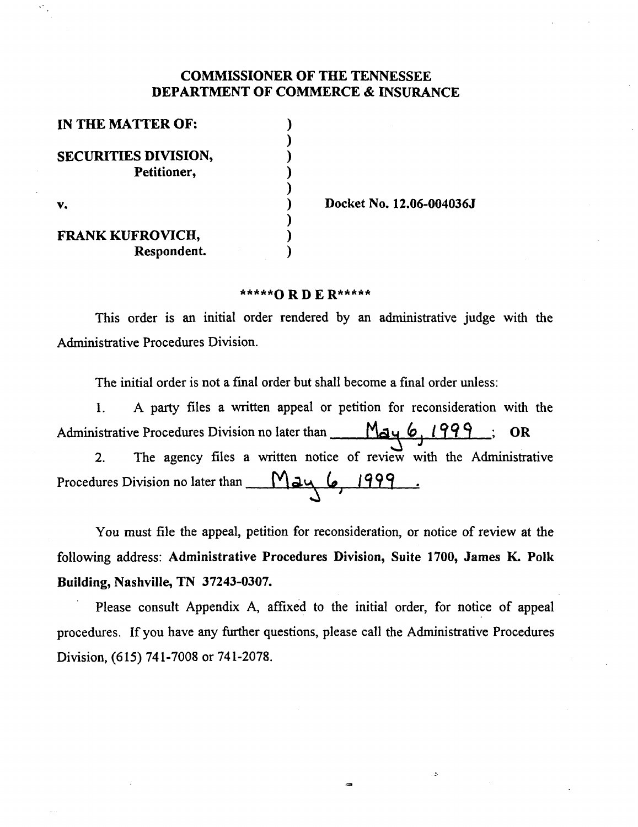## COMMISSIONER OF THE TENNESSEE DEPARTMENT OF COMMERCE & INSURANCE

| IN THE MATTER OF:           |  |
|-----------------------------|--|
|                             |  |
| <b>SECURITIES DIVISION,</b> |  |
| Petitioner,                 |  |
|                             |  |
| v.                          |  |
|                             |  |
| <b>FRANK KUFROVICH,</b>     |  |
| Respondent.                 |  |

 $\mathcal{O}_{\mathcal{A}}$ 

Docket No. 12.06-004036J

#### \*\*\*\*\*0 R DE R\*\*\*\*\*

This order is an initial order rendered by an administrative judge with the Administrative Procedures Division.

The initial order is not a fmal order but shall become a fmal order unless:

1. A party files a written appeal or petition for reconsideration with the Administrative Procedures Division no later than  $May6$ , 1999; OR 2. The agency files a written notice of review with the Administrative Procedures Division no later than <u>May 6</u>, 1999.

You must file the appeal, petition for reconsideration, or notice of review at the following address: Administrative Procedures Division, Suite 1700, James K. Polk Building, Nashville, TN 37243-0307.

Please consult Appendix A, affixed to the initial order, for notice of appeal procedures. If you have any further questions, please call the Administrative Procedures Division, (615) 741-7008 or 741-2078.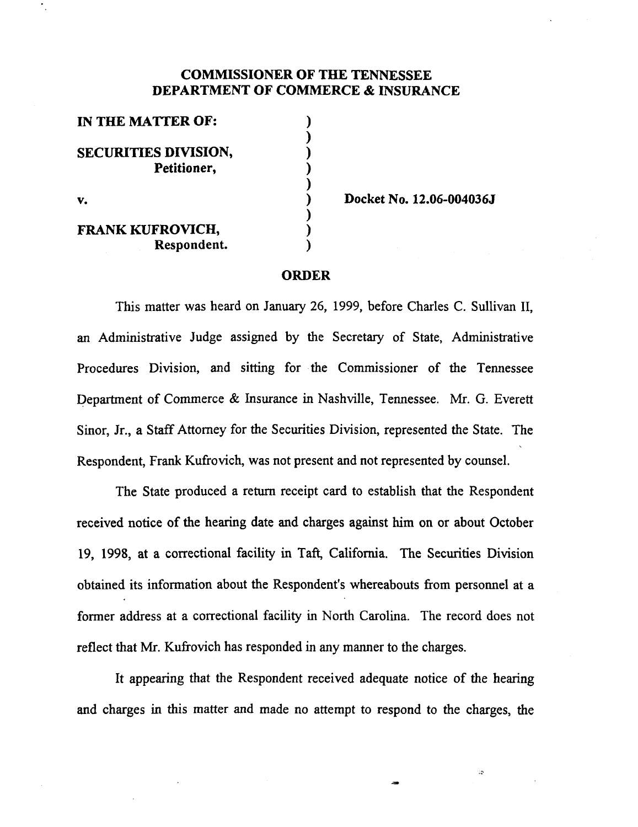## COMMISSIONER OF THE TENNESSEE DEPARTMENT OF COMMERCE & INSURANCE

) ) ) ) ) ) ) ) )

| IN THE MATTER OF:           |  |
|-----------------------------|--|
| <b>SECURITIES DIVISION,</b> |  |
| Petitioner,                 |  |
| v.                          |  |
| <b>FRANK KUFROVICH,</b>     |  |
| Respondent.                 |  |

Docket No. 12.06-004036J

#### **ORDER**

This matter was heard on January 26, 1999, before Charles C. Sullivan II, an Administrative Judge assigned by the Secretary of State, Administrative Procedures Division, and sitting for the Commissioner of the Tennessee Department of Commerce & Insurance in Nashville, Tennessee. Mr. G. Everett Sinor, Jr., a Staff Attorney for the Securities Division, represented the State. The Respondent, Frank Kufrovich, was not present and not represented by counsel.

The State produced a return receipt card to establish that the Respondent received notice of the hearing date and charges against him on or about October 19, 1998, at a correctional facility in Taft, California. The Securities Division obtained its information about the Respondent's whereabouts from personnel at a former address at a correctional facility in North Carolina. The record does not reflect that Mr. Kufrovich has responded in any manner to the charges.

It appearing that the Respondent received adequate notice of the hearing and charges in this matter and made no attempt to respond to the charges, the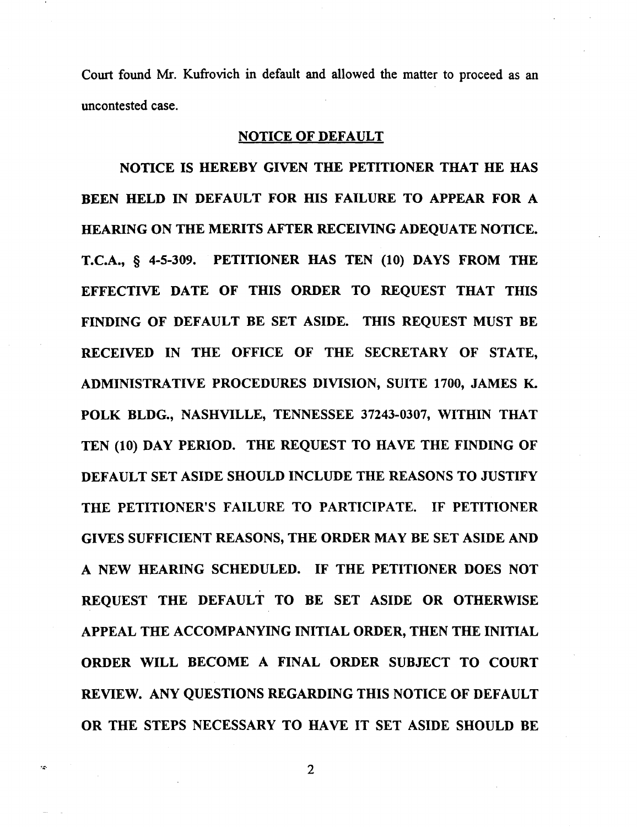Court found Mr. Kufrovich in default and allowed the matter to proceed as an uncontested case.

#### NOTICE OF DEFAULT

NOTICE IS HEREBY GIVEN THE PETITIONER THAT HE HAS BEEN HELD IN DEFAULT FOR HIS FAILURE TO APPEAR FOR A HEARING ON THE MERITS AFTER RECEIVING ADEQUATE NOTICE. T.C.A., § 4-5-309. PETITIONER HAS TEN (10) DAYS FROM THE EFFECTIVE DATE OF THIS ORDER TO REQUEST THAT THIS FINDING OF DEFAULT BE SET ASIDE. THIS REQUEST MUST BE RECEIVED IN THE OFFICE OF THE SECRETARY OF STATE, ADMINISTRATIVE PROCEDURES DIVISION, SUITE 1700, JAMES K. POLK BLDG., NASHVILLE, TENNESSEE 37243-0307, WITHIN THAT TEN (10) DAY PERIOD. THE REQUEST TO HAVE THE FINDING OF DEFAULT SET ASIDE SHOULD INCLUDE THE REASONS TO JUSTIFY THE PETITIONER'S FAILURE TO PARTICIPATE. IF PETITIONER GIVES SUFFICIENT REASONS, THE ORDER MAY BE SET ASIDE AND A NEW HEARING SCHEDULED. IF THE PETITIONER DOES NOT REQUEST THE DEFAULT TO BE SET ASIDE OR OTHERWISE APPEAL THE ACCOMPANYING INITIAL ORDER, THEN THE INITIAL ORDER WILL BECOME A FINAL ORDER SUBJECT TO COURT REVIEW. ANY QUESTIONS REGARDING THIS NOTICE OF DEFAULT OR THE STEPS NECESSARY TO HAVE IT SET ASIDE SHOULD BE

2

 $\mathbf{r}$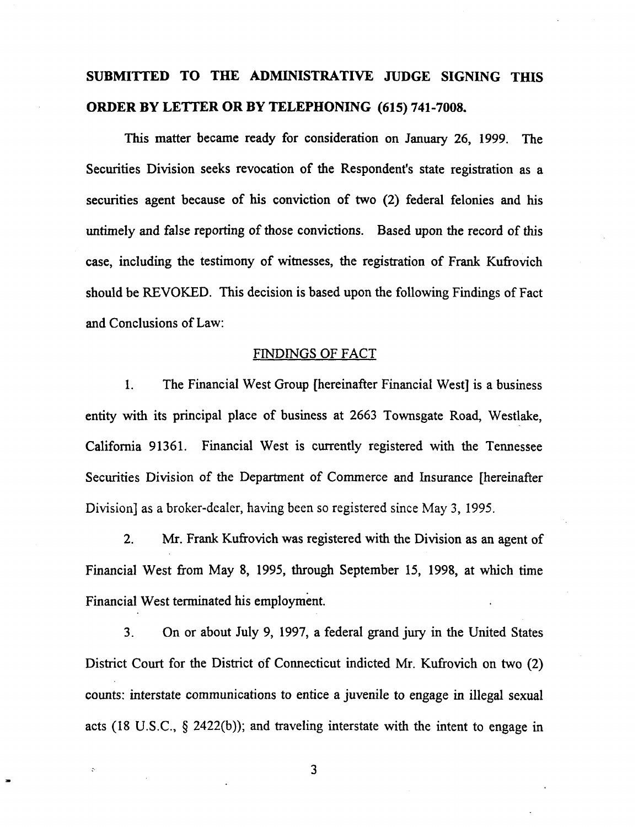# SUBMITIED TO THE ADMINISTRATIVE JUDGE SIGNING THIS ORDER BY LEITER OR BY TELEPHONING (615) 741-7008.

This matter became ready for consideration on January 26, 1999. The Securities Division seeks revocation of the Respondent's state registration as a securities agent because of his conviction of two (2) federal felonies and his untimely and false reporting of those convictions. Based upon the record of this case, including the testimony of witnesses, the registration of Frank Kufrovich should be REVOKED. This decision is based upon the following Findings of Fact and Conclusions of Law:

### FINDINGS OF FACT

1. The Financial West Group [hereinafter Financial West] is a business entity with its principal place of business at 2663 Townsgate Road, Westlake, California 91361. Financial West is currently registered with the Tennessee Securities Division of the Department of Commerce and Insurance [hereinafter Division] as a broker-dealer, having been so registered since May 3, 1995.

2. Mr. Frank Kufrovich was registered with the Division as an agent of Financial West from May 8, 1995, through September 15, 1998, at which time Financial West terminated his employment.

3. On or about July 9, 1997, a federal grand jury in the United States District Court for the District of Connecticut indicted Mr. Kufrovich on two {2) counts: interstate communications to entice a juvenile to engage in illegal sexual acts (18 U.S.C., § 2422(b)); and traveling interstate with the intent to engage in

3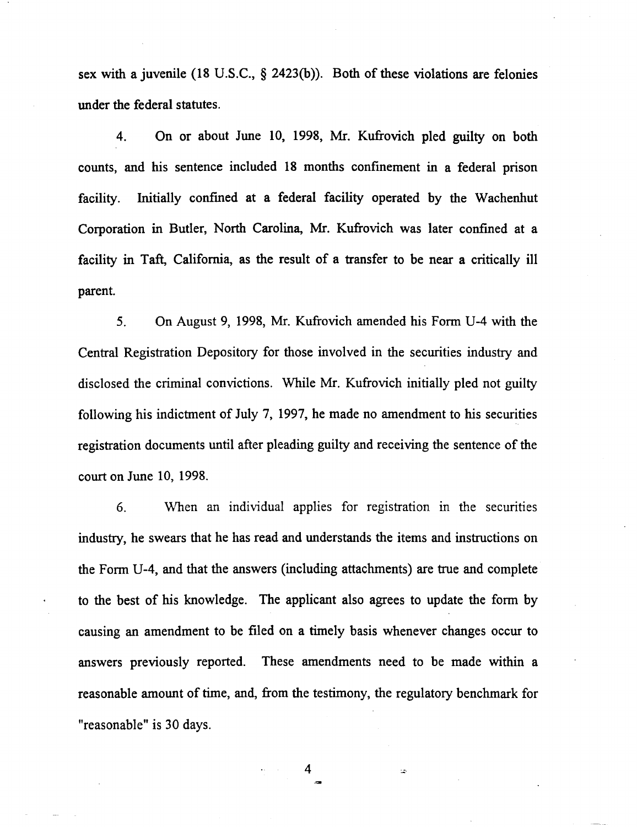sex with a juvenile (18 U.S.C., § 2423(b)). Both of these violations are felonies under the federal statutes.

4. On or about June 10, 1998, Mr. Kufrovich pled guilty on both counts, and his sentence included 18 months confinement in a federal prison facility. Initially confmed at a federal facility operated by the Wachenhut Corporation in Butler, North Carolina, Mr. Kufrovich was later confined at a facility in Taft, California, as the result of a transfer to be near a critically ill parent.

5. On August 9, 1998, Mr. Kufrovich amended his Form U-4 with the Central Registration Depository for those involved in the securities industry and disclosed the criminal convictions. While Mr. Kufrovich initially pled not guilty following his indictment of July 7, 1997, he made no amendment to his securities registration documents until after pleading guilty and receiving the sentence of the court on June 10, 1998.

6. When an individual applies for registration in the securities industry, he swears that he has read and understands the items and instructions on the Form U-4, and that the answers (including attachments) are true and complete to the best of his knowledge. The applicant also agrees to update the form by causing an amendment to be filed on a timely basis whenever changes occur to answers previously reported. These amendments need to be made within a reasonable amount of time, and, from the testimony, the regulatory benchmark for "reasonable" is 30 days.

 $4$   $\longrightarrow$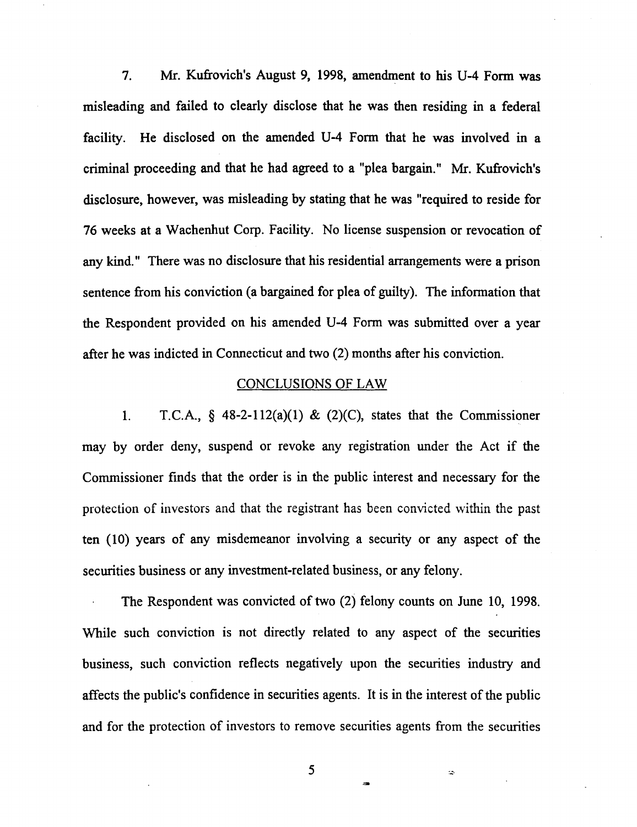7. Mr. Kufrovich's August 9, 1998, amendment to his U-4 Form was misleading and failed to clearly disclose that he was then residing in a federal facility. He disclosed on the amended U-4 Form that he was involved in a criminal proceeding and that he had agreed to a "plea bargain." Mr. Kufrovich's disclosure, however, was misleading by stating that he was "required to reside for 76 weeks at a Wachenhut Corp. Facility. No license suspension or revocation of any kind." There was no disclosure that his residential arrangements were a prison sentence from his conviction (a bargained for plea of guilty). The information that the Respondent provided on his amended U-4 Form was submitted over a year after he was indicted in Connecticut and two (2) months after his conviction.

#### CONCLUSIONS OF LAW

1. T.C.A.,  $\S$  48-2-112(a)(1) & (2)(C), states that the Commissioner may by order deny, suspend or revoke any registration under the Act if the Commissioner finds that the order is in the public interest and necessary for the protection of investors and that the registrant has been convicted within the past ten (10) years of any misdemeanor involving a security or any aspect of the securities business or any investment-related business, or any felony.

The Respondent was convicted of two (2) felony counts on June 10, 1998. While such conviction is not directly related to any aspect of the securities business, such conviction reflects negatively upon the securities industry and affects the public's confidence in securities agents. It is in the interest of the public and for the protection of investors to remove securities agents from the securities

5

 $\ddot{ }$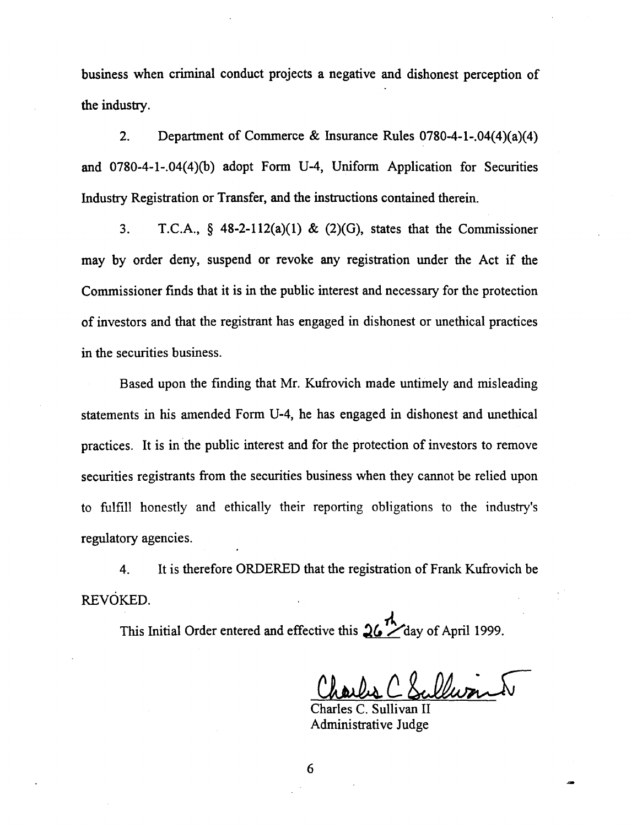business when criminal conduct projects a negative and dishonest perception of the industry.

2. Department of Commerce & Insurance Rules 0780-4-1-.04(4)(a)(4) and 0780-4-l-.04(4)(b) adopt Form U-4, Uniform Application for Securities Industry Registration or Transfer, and the instructions contained therein.

3. T.C.A., § 48-2-112(a)(1) & (2)(G), states that the Commissioner may by order deny, suspend or revoke any registration under the Act if the Commissioner finds that it is in the public interest and necessary for the protection of investors and that the registrant has engaged in dishonest or unethical practices in the securities business.

Based upon the finding that Mr. Kufrovich made untimely and misleading statements in his amended Form U-4, he has engaged in dishonest and unethical practices. It is in the public interest and for the protection of investors to remove securities registrants from the securities business when they cannot be relied upon to fulfill honestly and ethically their reporting obligations to the industry's regulatory agencies.

4. It is therefore ORDERED that the registration of Frank Kufrovich be REVOKED.

This Initial Order entered and effective this  $26$   $\frac{\pi}{4}$  day of April 1999.

~c\_~ C. Sullivan II

Charles Administrative Judge

6